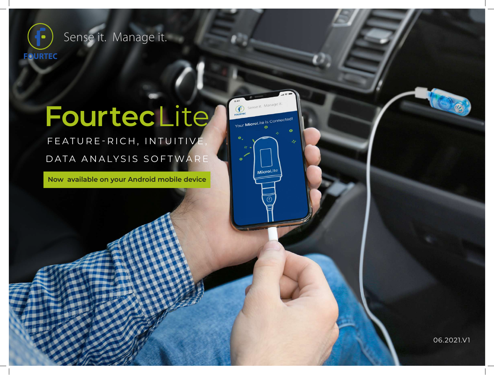

## Sense it. Manage it.

# **Fourtec**Lite

FEATURE-RICH, INTUITIVE DATA ANALYSIS SOFTWARE

**Now available on your Android mobile device** 



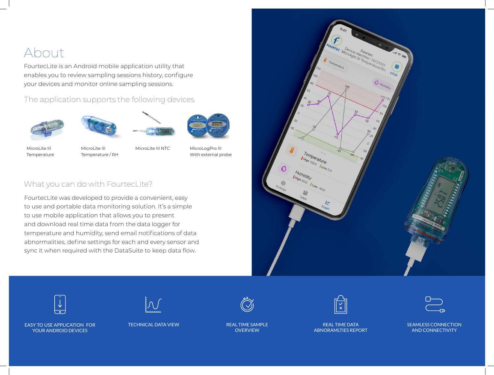## About

FourtecLite is an Android mobile application utility that enables you to review sampling sessions history, configure your devices and monitor online sampling sessions.

#### The application supports the following devices









MicroLite III Temperature

MicroLite III Temperature / RH

MicroLite III NTC MicroLogPro III With external probe

### What you can do with FourtecLite?

FourtecLite was developed to provide a convenient, easy to use and portable data monitoring solution. It's a simple to use mobile application that allows you to present and download real time data from the data logger for temperature and humidity, send email notifications of data abnormalities, define settings for each and every sensor and sync it when required with the DataSuite to keep data flow.





EASY TO USE APPLICATION FOR TECHNICAL DATA VIEW YOUR ANDROID DEVICES





REAL TIME SAMPLE **OVERVIEW** 



**REAL TIME DATA** ABNORAMLTIES REPORT



SEAMLESS CONNECTION AND CONNECTIVITY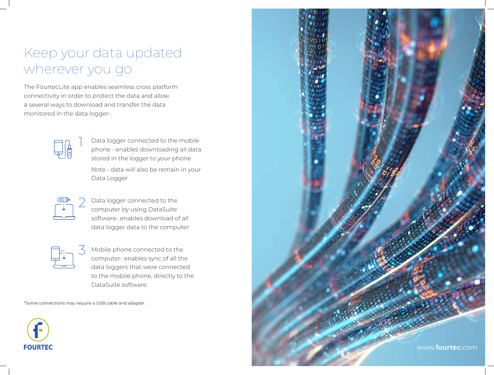## Keep your data updated wherever you go

The FourtecLite app enables seamless cross platform connectivity in order to protect the data and allow a several ways to download and transfer the data monitored in the data logger-



1

Data logger connected to the mobile phone - enables downloading all data stored in the logger to your phone

Note - data will also be remain in your Data Logger



Data logger connected to the computer by using DataSuite software- enables download of all data logger data to the computer.



Mobile phone connected to the computer- enables sync of all the data loggers that were connected to the mobile phone, directly to the DataSuite software.

\*Some connections may require a USB cable and adapter.